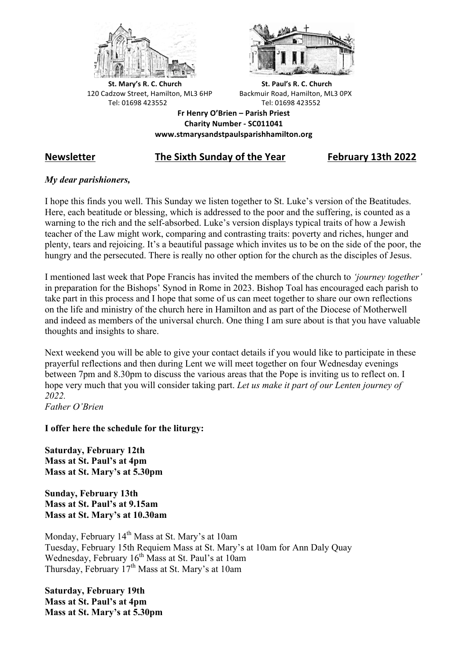



**St.** Mary's R. C. Church St. Paul's R. C. Church 120 Cadzow Street, Hamilton, ML3 6HP Backmuir Road, Hamilton, ML3 0PX Tel: 01698 423552 Tel: 01698 423552

**Fr Henry O'Brien – Parish Priest Charity Number - SC011041 www.stmarysandstpaulsparishhamilton.org**

# **Newsletter The Sixth Sunday of the Year February 13th 2022**

# *My dear parishioners,*

I hope this finds you well. This Sunday we listen together to St. Luke's version of the Beatitudes. Here, each beatitude or blessing, which is addressed to the poor and the suffering, is counted as a warning to the rich and the self-absorbed. Luke's version displays typical traits of how a Jewish teacher of the Law might work, comparing and contrasting traits: poverty and riches, hunger and plenty, tears and rejoicing. It's a beautiful passage which invites us to be on the side of the poor, the hungry and the persecuted. There is really no other option for the church as the disciples of Jesus.

I mentioned last week that Pope Francis has invited the members of the church to *'journey together'* in preparation for the Bishops' Synod in Rome in 2023. Bishop Toal has encouraged each parish to take part in this process and I hope that some of us can meet together to share our own reflections on the life and ministry of the church here in Hamilton and as part of the Diocese of Motherwell and indeed as members of the universal church. One thing I am sure about is that you have valuable thoughts and insights to share.

Next weekend you will be able to give your contact details if you would like to participate in these prayerful reflections and then during Lent we will meet together on four Wednesday evenings between 7pm and 8.30pm to discuss the various areas that the Pope is inviting us to reflect on. I hope very much that you will consider taking part. *Let us make it part of our Lenten journey of 2022.*

*Father O'Brien*

**I offer here the schedule for the liturgy:**

**Saturday, February 12th Mass at St. Paul's at 4pm Mass at St. Mary's at 5.30pm**

**Sunday, February 13th Mass at St. Paul's at 9.15am Mass at St. Mary's at 10.30am**

Monday, February 14<sup>th</sup> Mass at St. Mary's at 10am Tuesday, February 15th Requiem Mass at St. Mary's at 10am for Ann Daly Quay Wednesday, February  $16<sup>th</sup>$  Mass at St. Paul's at 10am Thursday, February  $17<sup>th</sup>$  Mass at St. Mary's at 10am

**Saturday, February 19th Mass at St. Paul's at 4pm Mass at St. Mary's at 5.30pm**